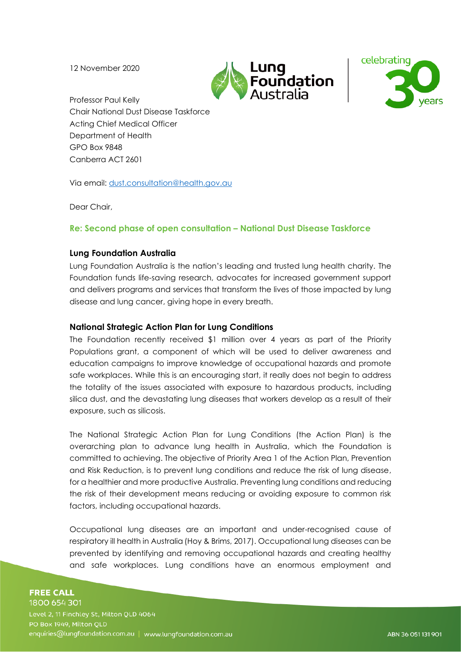12 November 2020





Professor Paul Kelly Chair National Dust Disease Taskforce Acting Chief Medical Officer Department of Health GPO Box 9848 Canberra ACT 2601

Via email: [dust.consultation@health.gov.au](mailto:dust.consultation@health.gov.au)

Dear Chair,

# **Re: Second phase of open consultation – National Dust Disease Taskforce**

## **Lung Foundation Australia**

Lung Foundation Australia is the nation's leading and trusted lung health charity. The Foundation funds life-saving research, advocates for increased government support and delivers programs and services that transform the lives of those impacted by lung disease and lung cancer, giving hope in every breath.

### **National Strategic Action Plan for Lung Conditions**

The Foundation recently received \$1 million over 4 years as part of the Priority Populations grant, a component of which will be used to deliver awareness and education campaigns to improve knowledge of occupational hazards and promote safe workplaces. While this is an encouraging start, it really does not begin to address the totality of the issues associated with exposure to hazardous products, including silica dust, and the devastating lung diseases that workers develop as a result of their exposure, such as silicosis.

The National Strategic Action Plan for Lung Conditions (the Action Plan) is the overarching plan to advance lung health in Australia, which the Foundation is committed to achieving. The objective of Priority Area 1 of the Action Plan, Prevention and Risk Reduction, is to prevent lung conditions and reduce the risk of lung disease, for a healthier and more productive Australia. Preventing lung conditions and reducing the risk of their development means reducing or avoiding exposure to common risk factors, including occupational hazards.

Occupational lung diseases are an important and under-recognised cause of respiratory ill health in Australia (Hoy & Brims, 2017). Occupational lung diseases can be prevented by identifying and removing occupational hazards and creating healthy and safe workplaces. Lung conditions have an enormous employment and

#### **FREE CALL** 1800 654 301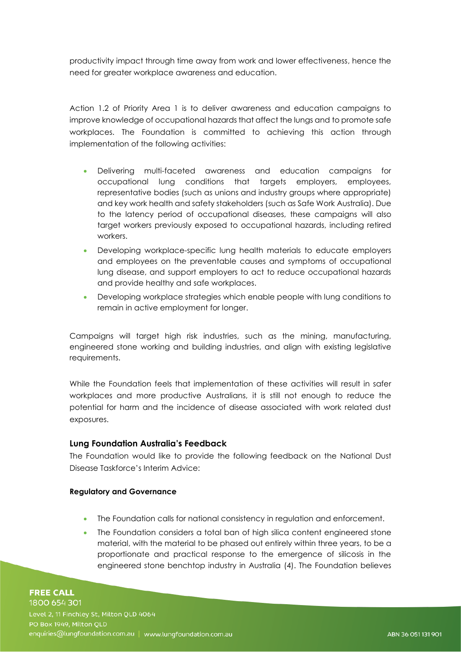productivity impact through time away from work and lower effectiveness, hence the need for greater workplace awareness and education.

Action 1.2 of Priority Area 1 is to deliver awareness and education campaigns to improve knowledge of occupational hazards that affect the lungs and to promote safe workplaces. The Foundation is committed to achieving this action through implementation of the following activities:

- Delivering multi-faceted awareness and education campaigns for occupational lung conditions that targets employers, employees, representative bodies (such as unions and industry groups where appropriate) and key work health and safety stakeholders (such as Safe Work Australia). Due to the latency period of occupational diseases, these campaigns will also target workers previously exposed to occupational hazards, including retired workers.
- Developing workplace-specific lung health materials to educate employers and employees on the preventable causes and symptoms of occupational lung disease, and support employers to act to reduce occupational hazards and provide healthy and safe workplaces.
- Developing workplace strategies which enable people with lung conditions to remain in active employment for longer.

Campaigns will target high risk industries, such as the mining, manufacturing, engineered stone working and building industries, and align with existing legislative requirements.

While the Foundation feels that implementation of these activities will result in safer workplaces and more productive Australians, it is still not enough to reduce the potential for harm and the incidence of disease associated with work related dust exposures.

# **Lung Foundation Australia's Feedback**

The Foundation would like to provide the following feedback on the National Dust Disease Taskforce's Interim Advice:

#### **Regulatory and Governance**

- The Foundation calls for national consistency in regulation and enforcement.
- The Foundation considers a total ban of high silica content engineered stone material, with the material to be phased out entirely within three years, to be a proportionate and practical response to the emergence of silicosis in the engineered stone benchtop industry in Australia (4). The Foundation believes

**FREE CALL** 1800 654 301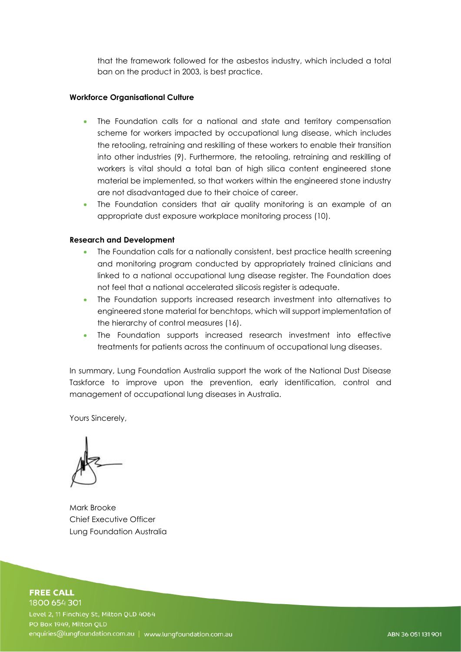that the framework followed for the asbestos industry, which included a total ban on the product in 2003, is best practice.

### **Workforce Organisational Culture**

- The Foundation calls for a national and state and territory compensation scheme for workers impacted by occupational lung disease, which includes the retooling, retraining and reskilling of these workers to enable their transition into other industries (9). Furthermore, the retooling, retraining and reskilling of workers is vital should a total ban of high silica content engineered stone material be implemented, so that workers within the engineered stone industry are not disadvantaged due to their choice of career.
- The Foundation considers that air quality monitoring is an example of an appropriate dust exposure workplace monitoring process (10).

## **Research and Development**

- The Foundation calls for a nationally consistent, best practice health screening and monitoring program conducted by appropriately trained clinicians and linked to a national occupational lung disease register. The Foundation does not feel that a national accelerated silicosis register is adequate.
- The Foundation supports increased research investment into alternatives to engineered stone material for benchtops, which will support implementation of the hierarchy of control measures (16).
- The Foundation supports increased research investment into effective treatments for patients across the continuum of occupational lung diseases.

In summary, Lung Foundation Australia support the work of the National Dust Disease Taskforce to improve upon the prevention, early identification, control and management of occupational lung diseases in Australia.

Yours Sincerely,

Mark Brooke Chief Executive Officer Lung Foundation Australia

#### **FREE CALL** 1800 654 301

Level 2, 11 Finchley St, Milton QLD 4064 PO Box 1949, Milton OLD enquiries@lungfoundation.com.au | www.lungfoundation.com.au